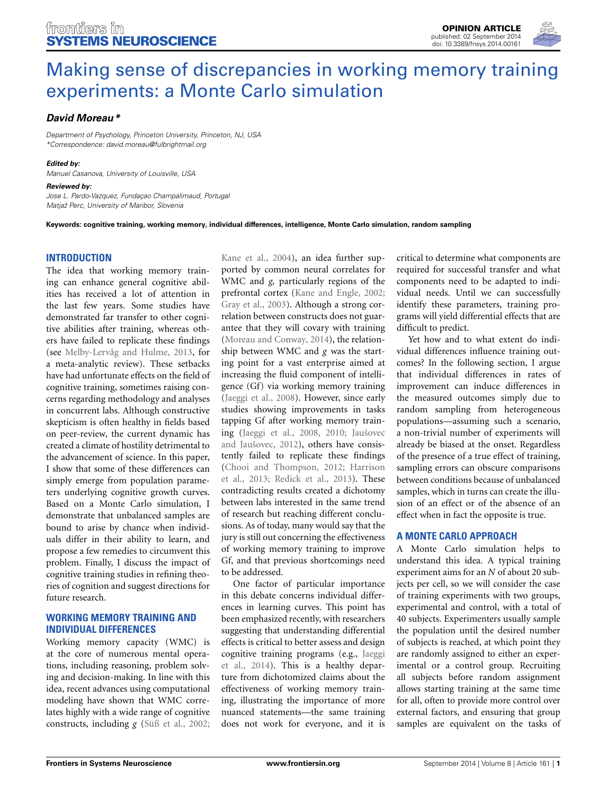

# [Making sense of discrepancies in working memory training](http://www.frontiersin.org/journal/10.3389/fnsys.2014.00161/full) experiments: a Monte Carlo simulation

# *[David Moreau](http://community.frontiersin.org/people/u/173164)\**

*Department of Psychology, Princeton University, Princeton, NJ, USA \*Correspondence: [david.moreau@fulbrightmail.org](mailto:david.moreau@fulbrightmail.org)*

#### *Edited by:*

*Manuel Casanova, University of Louisville, USA*

#### *Reviewed by:*

*Jose L. Pardo-Vazquez, Fundaçao Champalimaud, Portugal Matjaž Perc, University of Maribor, Slovenia*

**Keywords: cognitive training, working memory, individual differences, intelligence, Monte Carlo simulation, random sampling**

## **INTRODUCTION**

The idea that working memory training can enhance general cognitive abilities has received a lot of attention in the last few years. Some studies have demonstrated far transfer to other cognitive abilities after training, whereas others have failed to replicate these findings (see [Melby-Lervåg and Hulme](#page-3-0), [2013,](#page-3-0) for a meta-analytic review). These setbacks have had unfortunate effects on the field of cognitive training, sometimes raising concerns regarding methodology and analyses in concurrent labs. Although constructive skepticism is often healthy in fields based on peer-review, the current dynamic has created a climate of hostility detrimental to the advancement of science. In this paper, I show that some of these differences can simply emerge from population parameters underlying cognitive growth curves. Based on a Monte Carlo simulation, I demonstrate that unbalanced samples are bound to arise by chance when individuals differ in their ability to learn, and propose a few remedies to circumvent this problem. Finally, I discuss the impact of cognitive training studies in refining theories of cognition and suggest directions for future research.

## **WORKING MEMORY TRAINING AND INDIVIDUAL DIFFERENCES**

Working memory capacity (WMC) is at the core of numerous mental operations, including reasoning, problem solving and decision-making. In line with this idea, recent advances using computational modeling have shown that WMC correlates highly with a wide range of cognitive constructs, including *g* [\(Süß et al.](#page-3-1), [2002;](#page-3-1)

[Kane et al., 2004\)](#page-2-0), an idea further supported by common neural correlates for WMC and *g,* particularly regions of the prefrontal cortex [\(Kane and Engle](#page-2-1), [2002;](#page-2-1) [Gray et al.](#page-2-2), [2003\)](#page-2-2). Although a strong correlation between constructs does not guarantee that they will covary with training [\(Moreau and Conway, 2014\)](#page-3-2), the relationship between WMC and *g* was the starting point for a vast enterprise aimed at increasing the fluid component of intelligence (Gf) via working memory training [\(Jaeggi et al.](#page-2-3), [2008](#page-2-3)). However, since early studies showing improvements in tasks tapping Gf after working memory training [\(Jaeggi et al.](#page-2-3)[,](#page-2-5) [2008](#page-2-3)[,](#page-2-5) [2010](#page-2-4)[;](#page-2-5) Jaušovec and Jaušovec, [2012\)](#page-2-5), others have consistently failed to replicate these findings [\(Chooi and Thompson, 2012](#page-2-6)[;](#page-2-7) Harrison et al., [2013;](#page-2-7) [Redick et al.](#page-3-3), [2013](#page-3-3)). These contradicting results created a dichotomy between labs interested in the same trend of research but reaching different conclusions. As of today, many would say that the jury is still out concerning the effectiveness of working memory training to improve Gf, and that previous shortcomings need to be addressed.

One factor of particular importance in this debate concerns individual differences in learning curves. This point has been emphasized recently, with researchers suggesting that understanding differential effects is critical to better assess and design cogni[tive training programs \(e.g.,](#page-2-8) Jaeggi et al., [2014\)](#page-2-8). This is a healthy departure from dichotomized claims about the effectiveness of working memory training, illustrating the importance of more nuanced statements—the same training does not work for everyone, and it is

critical to determine what components are required for successful transfer and what components need to be adapted to individual needs. Until we can successfully identify these parameters, training programs will yield differential effects that are difficult to predict.

Yet how and to what extent do individual differences influence training outcomes? In the following section, I argue that individual differences in rates of improvement can induce differences in the measured outcomes simply due to random sampling from heterogeneous populations—assuming such a scenario, a non-trivial number of experiments will already be biased at the onset. Regardless of the presence of a true effect of training, sampling errors can obscure comparisons between conditions because of unbalanced samples, which in turns can create the illusion of an effect or of the absence of an effect when in fact the opposite is true.

## **A MONTE CARLO APPROACH**

A Monte Carlo simulation helps to understand this idea. A typical training experiment aims for an *N* of about 20 subjects per cell, so we will consider the case of training experiments with two groups, experimental and control, with a total of 40 subjects. Experimenters usually sample the population until the desired number of subjects is reached, at which point they are randomly assigned to either an experimental or a control group. Recruiting all subjects before random assignment allows starting training at the same time for all, often to provide more control over external factors, and ensuring that group samples are equivalent on the tasks of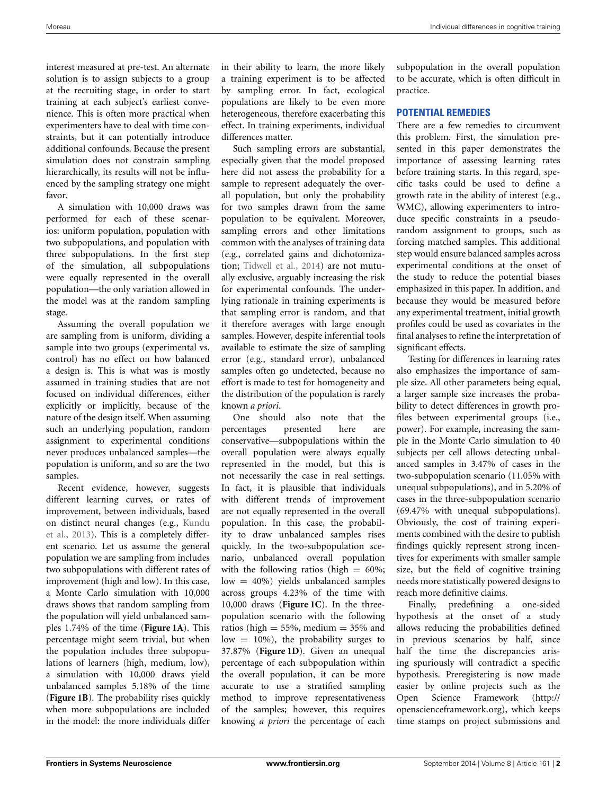interest measured at pre-test. An alternate solution is to assign subjects to a group at the recruiting stage, in order to start training at each subject's earliest convenience. This is often more practical when experimenters have to deal with time constraints, but it can potentially introduce additional confounds. Because the present simulation does not constrain sampling hierarchically, its results will not be influenced by the sampling strategy one might favor.

A simulation with 10,000 draws was performed for each of these scenarios: uniform population, population with two subpopulations, and population with three subpopulations. In the first step of the simulation, all subpopulations were equally represented in the overall population—the only variation allowed in the model was at the random sampling stage.

Assuming the overall population we are sampling from is uniform, dividing a sample into two groups (experimental vs. control) has no effect on how balanced a design is. This is what was is mostly assumed in training studies that are not focused on individual differences, either explicitly or implicitly, because of the nature of the design itself. When assuming such an underlying population, random assignment to experimental conditions never produces unbalanced samples—the population is uniform, and so are the two samples.

Recent evidence, however, suggests different learning curves, or rates of improvement, between individuals, based on d[istinct neural changes \(e.g.,](#page-2-9) Kundu et al., [2013](#page-2-9)). This is a completely different scenario. Let us assume the general population we are sampling from includes two subpopulations with different rates of improvement (high and low). In this case, a Monte Carlo simulation with 10,000 draws shows that random sampling from the population will yield unbalanced samples 1.74% of the time (**[Figure 1A](#page-2-10)**). This percentage might seem trivial, but when the population includes three subpopulations of learners (high, medium, low), a simulation with 10,000 draws yield unbalanced samples 5.18% of the time (**[Figure 1B](#page-2-10)**). The probability rises quickly when more subpopulations are included in the model: the more individuals differ

in their ability to learn, the more likely a training experiment is to be affected by sampling error. In fact, ecological populations are likely to be even more heterogeneous, therefore exacerbating this effect. In training experiments, individual differences matter.

Such sampling errors are substantial, especially given that the model proposed here did not assess the probability for a sample to represent adequately the overall population, but only the probability for two samples drawn from the same population to be equivalent. Moreover, sampling errors and other limitations common with the analyses of training data (e.g., correlated gains and dichotomization; [Tidwell et al.](#page-3-4), [2014](#page-3-4)) are not mutually exclusive, arguably increasing the risk for experimental confounds. The underlying rationale in training experiments is that sampling error is random, and that it therefore averages with large enough samples. However, despite inferential tools available to estimate the size of sampling error (e.g., standard error), unbalanced samples often go undetected, because no effort is made to test for homogeneity and the distribution of the population is rarely known *a priori*.

One should also note that the percentages presented here are conservative—subpopulations within the overall population were always equally represented in the model, but this is not necessarily the case in real settings. In fact, it is plausible that individuals with different trends of improvement are not equally represented in the overall population. In this case, the probability to draw unbalanced samples rises quickly. In the two-subpopulation scenario, unbalanced overall population with the following ratios (high  $= 60\%$ ; low = 40%) yields unbalanced samples across groups 4.23% of the time with 10,000 draws (**[Figure 1C](#page-2-10)**). In the threepopulation scenario with the following ratios (high  $= 55\%$ , medium  $= 35\%$  and low  $= 10\%$ ), the probability surges to 37.87% (**[Figure 1D](#page-2-10)**). Given an unequal percentage of each subpopulation within the overall population, it can be more accurate to use a stratified sampling method to improve representativeness of the samples; however, this requires knowing *a priori* the percentage of each

subpopulation in the overall population to be accurate, which is often difficult in practice.

#### **POTENTIAL REMEDIES**

There are a few remedies to circumvent this problem. First, the simulation presented in this paper demonstrates the importance of assessing learning rates before training starts. In this regard, specific tasks could be used to define a growth rate in the ability of interest (e.g., WMC), allowing experimenters to introduce specific constraints in a pseudorandom assignment to groups, such as forcing matched samples. This additional step would ensure balanced samples across experimental conditions at the onset of the study to reduce the potential biases emphasized in this paper. In addition, and because they would be measured before any experimental treatment, initial growth profiles could be used as covariates in the final analyses to refine the interpretation of significant effects.

Testing for differences in learning rates also emphasizes the importance of sample size. All other parameters being equal, a larger sample size increases the probability to detect differences in growth profiles between experimental groups (i.e., power). For example, increasing the sample in the Monte Carlo simulation to 40 subjects per cell allows detecting unbalanced samples in 3.47% of cases in the two-subpopulation scenario (11.05% with unequal subpopulations), and in 5.20% of cases in the three-subpopulation scenario (69.47% with unequal subpopulations). Obviously, the cost of training experiments combined with the desire to publish findings quickly represent strong incentives for experiments with smaller sample size, but the field of cognitive training needs more statistically powered designs to reach more definitive claims.

Finally, predefining a one-sided hypothesis at the onset of a study allows reducing the probabilities defined in previous scenarios by half, since half the time the discrepancies arising spuriously will contradict a specific hypothesis. Preregistering is now made easier by online projects such as the Open Science Framework [\(http://](http://openscienceframework.org) [openscienceframework](http://openscienceframework.org)*.*org), which keeps time stamps on project submissions and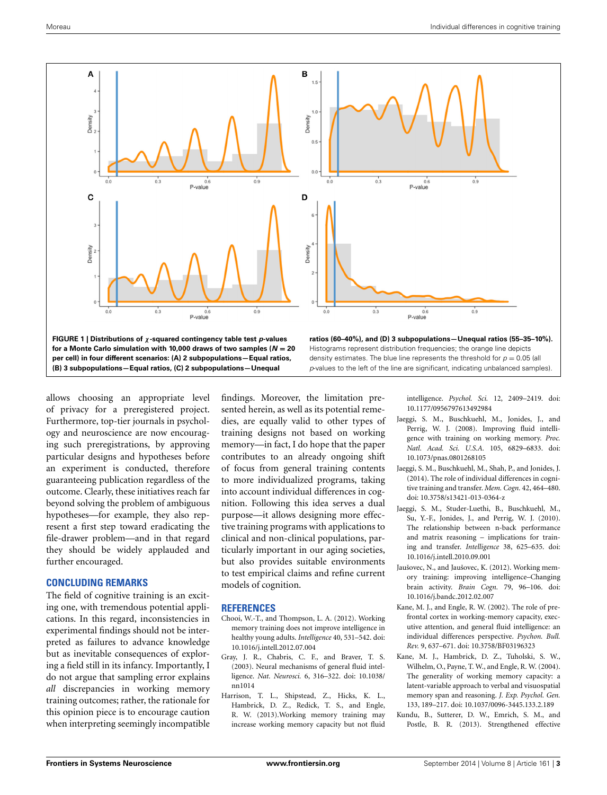

<span id="page-2-10"></span>allows choosing an appropriate level of privacy for a preregistered project. Furthermore, top-tier journals in psychology and neuroscience are now encouraging such preregistrations, by approving particular designs and hypotheses before an experiment is conducted, therefore guaranteeing publication regardless of the outcome. Clearly, these initiatives reach far beyond solving the problem of ambiguous hypotheses—for example, they also represent a first step toward eradicating the file-drawer problem—and in that regard they should be widely applauded and further encouraged.

# **CONCLUDING REMARKS**

The field of cognitive training is an exciting one, with tremendous potential applications. In this regard, inconsistencies in experimental findings should not be interpreted as failures to advance knowledge but as inevitable consequences of exploring a field still in its infancy. Importantly, I do not argue that sampling error explains *all* discrepancies in working memory training outcomes; rather, the rationale for this opinion piece is to encourage caution when interpreting seemingly incompatible findings. Moreover, the limitation presented herein, as well as its potential remedies, are equally valid to other types of training designs not based on working memory—in fact, I do hope that the paper contributes to an already ongoing shift of focus from general training contents to more individualized programs, taking into account individual differences in cognition. Following this idea serves a dual purpose—it allows designing more effective training programs with applications to clinical and non-clinical populations, particularly important in our aging societies, but also provides suitable environments to test empirical claims and refine current models of cognition.

#### **REFERENCES**

- <span id="page-2-6"></span>Chooi, W.-T., and Thompson, L. A. (2012). Working memory training does not improve intelligence in healthy young adults. *Intelligence* 40, 531–542. doi: 10.1016/j.intell.2012.07.004
- <span id="page-2-2"></span>Gray, J. R., Chabris, C. F., and Braver, T. S. (2003). Neural mechanisms of general fluid intelligence. *Nat. Neurosci.* 6, 316–322. doi: 10.1038/ nn1014
- <span id="page-2-7"></span>Harrison, T. L., Shipstead, Z., Hicks, K. L., Hambrick, D. Z., Redick, T. S., and Engle, R. W. (2013).Working memory training may increase working memory capacity but not fluid

intelligence. *Psychol. Sci.* 12, 2409–2419. doi: 10.1177/0956797613492984

- <span id="page-2-3"></span>Jaeggi, S. M., Buschkuehl, M., Jonides, J., and Perrig, W. J. (2008). Improving fluid intelligence with training on working memory. *Proc. Natl. Acad. Sci. U.S.A.* 105, 6829–6833. doi: 10.1073/pnas.0801268105
- <span id="page-2-8"></span>Jaeggi, S. M., Buschkuehl, M., Shah, P., and Jonides, J. (2014). The role of individual differences in cognitive training and transfer. *Mem. Cogn.* 42, 464–480. doi: 10.3758/s13421-013-0364-z
- <span id="page-2-4"></span>Jaeggi, S. M., Studer-Luethi, B., Buschkuehl, M., Su, Y.-F., Jonides, J., and Perrig, W. J. (2010). The relationship between n-back performance and matrix reasoning – implications for training and transfer. *Intelligence* 38, 625–635. doi: 10.1016/j.intell.2010.09.001
- <span id="page-2-5"></span>Jaušovec, N., and Jaušovec, K. (2012). Working memory training: improving intelligence–Changing brain activity. *Brain Cogn.* 79, 96–106. doi: 10.1016/j.bandc.2012.02.007
- <span id="page-2-1"></span>Kane, M. J., and Engle, R. W. (2002). The role of prefrontal cortex in working-memory capacity, executive attention, and general fluid intelligence: an individual differences perspective. *Psychon. Bull. Rev.* 9, 637–671. doi: 10.3758/BF03196323
- <span id="page-2-0"></span>Kane, M. J., Hambrick, D. Z., Tuholski, S. W., Wilhelm, O., Payne, T. W., and Engle, R. W. (2004). The generality of working memory capacity: a latent-variable approach to verbal and visuospatial memory span and reasoning. *J. Exp. Psychol. Gen.* 133, 189–217. doi: 10.1037/0096-3445.133.2.189
- <span id="page-2-9"></span>Kundu, B., Sutterer, D. W., Emrich, S. M., and Postle, B. R. (2013). Strengthened effective